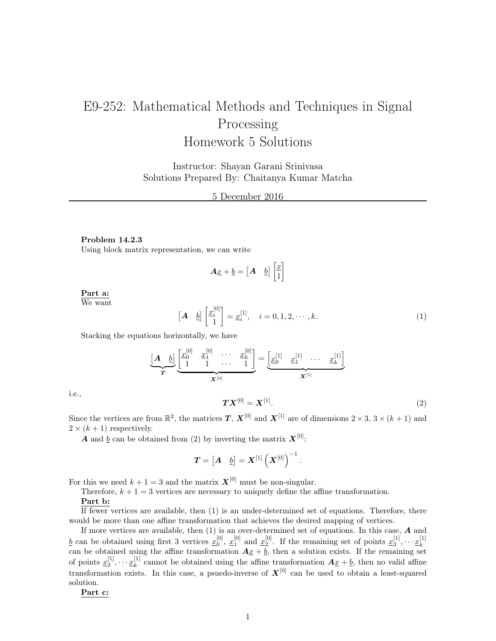# E9-252: Mathematical Methods and Techniques in Signal Processing Homework 5 Solutions

Instructor: Shayan Garani Srinivasa Solutions Prepared By: Chaitanya Kumar Matcha

5 December 2016

#### Problem 14.2.3

Using block matrix representation, we can write

$$
\boldsymbol{A}\underline{x} + \underline{b} = \begin{bmatrix} \boldsymbol{A} & \underline{b} \end{bmatrix} \begin{bmatrix} \underline{x} \\ 1 \end{bmatrix}
$$

Part a: We want

$$
\begin{bmatrix} \mathbf{A} & \underline{b} \end{bmatrix} \begin{bmatrix} x_i^{[0]} \\ 1 \end{bmatrix} = \underline{x}_i^{[1]}, \quad i = 0, 1, 2, \cdots, k. \tag{1}
$$

Stacking the equations horizontally, we have

$$
\underbrace{[A \quad b]}_{T} \underbrace{\begin{bmatrix} x_0^{[0]} & x_1^{[0]} & \cdots & x_k^{[0]} \\ 1 & 1 & \cdots & 1 \end{bmatrix}}_{\mathbf{X}^{[0]}} = \underbrace{\begin{bmatrix} x_0^{[1]} & x_1^{[1]} & \cdots & x_k^{[1]} \end{bmatrix}}_{\mathbf{X}^{[1]}}
$$

i.e.,

$$
TX^{[0]} = X^{[1]}.
$$
 (2)

Since the vertices are from  $\mathbb{R}^2$ , the matrices  $T, X^{[0]}$  and  $X^{[1]}$  are of dimensions  $2 \times 3, 3 \times (k+1)$  and  $2 \times (k+1)$  respectively.

**A** and <u>b</u> can be obtained from (2) by inverting the matrix  $X^{[0]}$ :

$$
\boldsymbol{T} = \begin{bmatrix} \boldsymbol{A} & \underline{b} \end{bmatrix} = \boldsymbol{X}^{[1]}\left(\boldsymbol{X}^{[0]}\right)^{-1}.
$$

For this we need  $k + 1 = 3$  and the matrix  $\mathbf{X}^{[0]}$  must be non-singular.

Therefore,  $k + 1 = 3$  vertices are necessary to uniquely define the affine transformation.

#### Part b:

If fewer vertices are available, then (1) is an under-determined set of equations. Therefore, there would be more than one affine transformation that achieves the desired mapping of vertices.

If more vertices are available, then (1) is an over-determined set of equations. In this case, A and  $\underline{b}$  can be obtained using first 3 vertices  $\underline{x}_0^{[0]}$ ,  $\underline{x}_1^{[0]}$  and  $\underline{x}_2^{[0]}$ . If the remaining set of points  $\underline{x}_3^{[1]}, \dots \underline{x}_k^{[1]}$  $\frac{d}{dx}$  can be obtained using the affine transformation  $A\underline{x} + \underline{b}$ , then a solution exists. If the remaining set can be obtained using the affine transformation  $A\underline{x} + \underline{b}$ , then a solution exists. If the remaini of points  $\underline{x}_3^{[1]}, \cdots \underline{x}_k^{[1]}$  $k_k^{\lfloor 1 \rfloor}$  cannot be obtained using the affine transformation  $A_{\underline{x}} + \underline{b}$ , then no valid affine transformation exists. In this case, a psuedo-inverse of  $X^{[0]}$  can be used to obtain a least-squared solution.

Part c: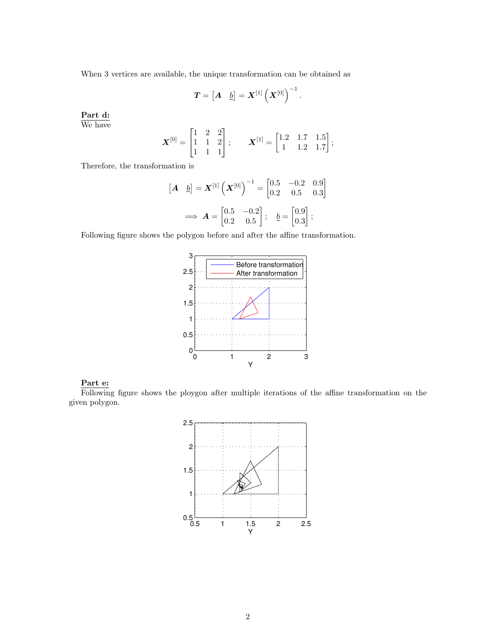When 3 vertices are available, the unique transformation can be obtained as

$$
\boldsymbol{T} = \begin{bmatrix} \boldsymbol{A} & \underline{b} \end{bmatrix} = \boldsymbol{X}^{[1]}\left(\boldsymbol{X}^{[0]}\right)^{-1}.
$$

Part d: We have

$$
\boldsymbol{X}^{[0]} = \begin{bmatrix} 1 & 2 & 2 \\ 1 & 1 & 2 \\ 1 & 1 & 1 \end{bmatrix}; \qquad \boldsymbol{X}^{[1]} = \begin{bmatrix} 1.2 & 1.7 & 1.5 \\ 1 & 1.2 & 1.7 \end{bmatrix};
$$

Therefore, the transformation is

$$
\begin{bmatrix} \mathbf{A} & \underline{b} \end{bmatrix} = \mathbf{X}^{[1]} \left( \mathbf{X}^{[0]} \right)^{-1} = \begin{bmatrix} 0.5 & -0.2 & 0.9 \\ 0.2 & 0.5 & 0.3 \end{bmatrix}
$$

$$
\implies \mathbf{A} = \begin{bmatrix} 0.5 & -0.2 \\ 0.2 & 0.5 \end{bmatrix}; \quad \underline{b} = \begin{bmatrix} 0.9 \\ 0.3 \end{bmatrix};
$$

Following figure shows the polygon before and after the affine transformation.



# Part e:

Following figure shows the ploygon after multiple iterations of the affine transformation on the given polygon.

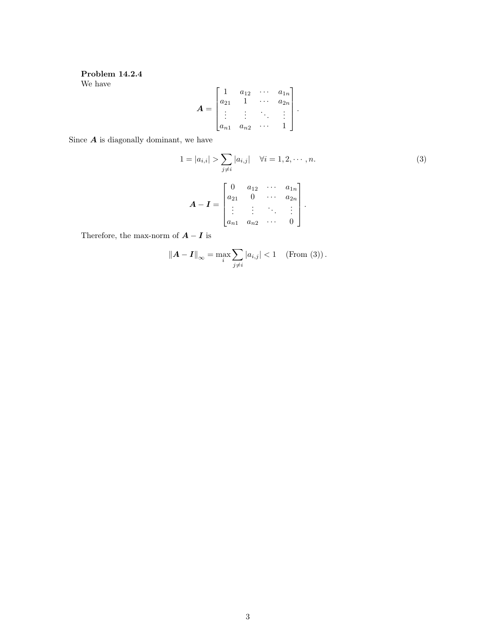## Problem 14.2.4 We have

$$
A = \begin{bmatrix} 1 & a_{12} & \cdots & a_{1n} \\ a_{21} & 1 & \cdots & a_{2n} \\ \vdots & \vdots & \ddots & \vdots \\ a_{n1} & a_{n2} & \cdots & 1 \end{bmatrix}.
$$

Since  $A$  is diagonally dominant, we have

$$
1 = |a_{i,i}| > \sum_{j \neq i} |a_{i,j}| \quad \forall i = 1, 2, \cdots, n.
$$
\n
$$
A - I = \begin{bmatrix} 0 & a_{12} & \cdots & a_{1n} \\ a_{21} & 0 & \cdots & a_{2n} \\ \vdots & \vdots & \ddots & \vdots \\ a_{n1} & a_{n2} & \cdots & 0 \end{bmatrix}.
$$
\n(3)

Therefore, the max-norm of  $\boldsymbol{A}-\boldsymbol{I}$  is

$$
\|\mathbf{A} - \mathbf{I}\|_{\infty} = \max_{i} \sum_{j \neq i} |a_{i,j}| < 1 \quad \text{(From (3))}.
$$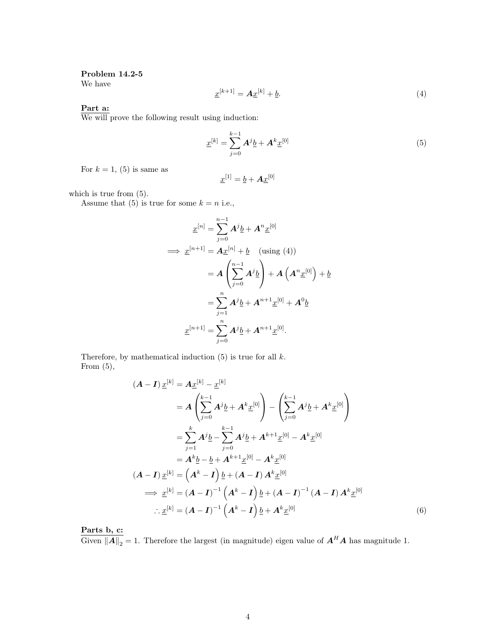### Problem 14.2-5

We have

$$
\underline{x}^{[k+1]} = \underline{A}\underline{x}^{[k]} + \underline{b}.\tag{4}
$$

Part a:

We will prove the following result using induction:

$$
\underline{x}^{[k]} = \sum_{j=0}^{k-1} A^j \underline{b} + A^k \underline{x}^{[0]}
$$
 (5)

For  $k = 1$ , (5) is same as

$$
\underline{x}^{[1]} = \underline{b} + \bm{A}\underline{x}^{[0]}
$$

which is true from  $(5)$ .

Assume that (5) is true for some  $k = n$  i.e.,

$$
\underline{x}^{[n]} = \sum_{j=0}^{n-1} A^j \underline{b} + A^n \underline{x}^{[0]}
$$
  
\n
$$
\implies \underline{x}^{[n+1]} = A \underline{x}^{[n]} + \underline{b} \quad \text{(using (4))}
$$
  
\n
$$
= A \left( \sum_{j=0}^{n-1} A^j \underline{b} \right) + A \left( A^n \underline{x}^{[0]} \right) + \underline{b}
$$
  
\n
$$
= \sum_{j=1}^{n} A^j \underline{b} + A^{n+1} \underline{x}^{[0]} + A^0 \underline{b}
$$
  
\n
$$
\underline{x}^{[n+1]} = \sum_{j=0}^{n} A^j \underline{b} + A^{n+1} \underline{x}^{[0]}.
$$

Therefore, by mathematical induction  $(5)$  is true for all  $k$ . From  $(5)$ ,

$$
(\mathbf{A} - \mathbf{I}) \underline{x}^{[k]} = A \underline{x}^{[k]} - \underline{x}^{[k]}
$$
  
\n
$$
= A \left( \sum_{j=0}^{k-1} A^j \underline{b} + A^k \underline{x}^{[0]} \right) - \left( \sum_{j=0}^{k-1} A^j \underline{b} + A^k \underline{x}^{[0]} \right)
$$
  
\n
$$
= \sum_{j=1}^{k} A^j \underline{b} - \sum_{j=0}^{k-1} A^j \underline{b} + A^{k+1} \underline{x}^{[0]} - A^k \underline{x}^{[0]}
$$
  
\n
$$
= A^k \underline{b} - \underline{b} + A^{k+1} \underline{x}^{[0]} - A^k \underline{x}^{[0]}
$$
  
\n
$$
(\mathbf{A} - \mathbf{I}) \underline{x}^{[k]} = (\mathbf{A}^k - \mathbf{I}) \underline{b} + (\mathbf{A} - \mathbf{I}) A^k \underline{x}^{[0]}
$$
  
\n
$$
\Rightarrow \underline{x}^{[k]} = (\mathbf{A} - \mathbf{I})^{-1} (\mathbf{A}^k - \mathbf{I}) \underline{b} + (\mathbf{A} - \mathbf{I})^{-1} (\mathbf{A} - \mathbf{I}) A^k \underline{x}^{[0]}
$$
  
\n
$$
\therefore \underline{x}^{[k]} = (\mathbf{A} - \mathbf{I})^{-1} (\mathbf{A}^k - \mathbf{I}) \underline{b} + A^k \underline{x}^{[0]}
$$
  
\n(6)

Parts b, c:

Given  $||A||_2 = 1$ . Therefore the largest (in magnitude) eigen value of  $A^H A$  has magnitude 1.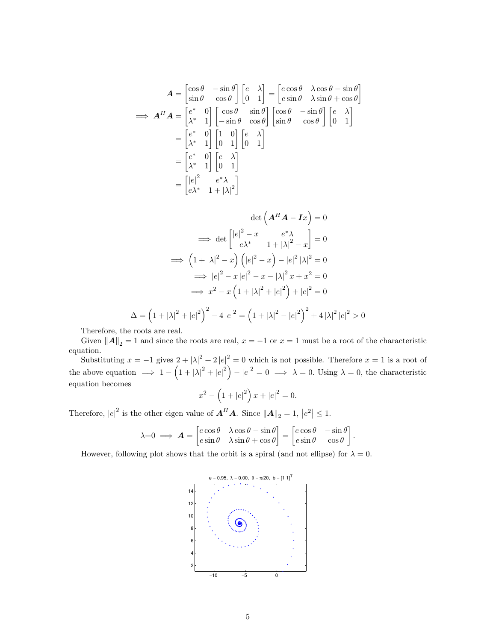$$
A = \begin{bmatrix} \cos \theta & -\sin \theta \\ \sin \theta & \cos \theta \end{bmatrix} \begin{bmatrix} e & \lambda \\ 0 & 1 \end{bmatrix} = \begin{bmatrix} e \cos \theta & \lambda \cos \theta - \sin \theta \\ e \sin \theta & \lambda \sin \theta + \cos \theta \end{bmatrix}
$$
  
\n
$$
\implies A^H A = \begin{bmatrix} e^* & 0 \\ \lambda^* & 1 \end{bmatrix} \begin{bmatrix} \cos \theta & \sin \theta \\ -\sin \theta & \cos \theta \end{bmatrix} \begin{bmatrix} \cos \theta & -\sin \theta \\ \sin \theta & \cos \theta \end{bmatrix} \begin{bmatrix} e & \lambda \\ 0 & 1 \end{bmatrix}
$$
  
\n
$$
= \begin{bmatrix} e^* & 0 \\ \lambda^* & 1 \end{bmatrix} \begin{bmatrix} 1 & 0 \\ 0 & 1 \end{bmatrix} \begin{bmatrix} e & \lambda \\ 0 & 1 \end{bmatrix}
$$
  
\n
$$
= \begin{bmatrix} e^* & 0 \\ \lambda^* & 1 \end{bmatrix} \begin{bmatrix} e & \lambda \\ 0 & 1 \end{bmatrix}
$$
  
\n
$$
= \begin{bmatrix} |e|^2 & e^* \lambda \\ e\lambda^* & 1 + |\lambda|^2 \end{bmatrix}
$$

$$
\det \left( \mathbf{A}^H \mathbf{A} - \mathbf{I} x \right) = 0
$$
  
\n
$$
\implies \det \begin{bmatrix} |e|^2 - x & e^* \lambda \\ e \lambda^* & 1 + |\lambda|^2 - x \end{bmatrix} = 0
$$
  
\n
$$
\implies \left( 1 + |\lambda|^2 - x \right) \left( |e|^2 - x \right) - |e|^2 |\lambda|^2 = 0
$$
  
\n
$$
\implies |e|^2 - x |e|^2 - x - |\lambda|^2 x + x^2 = 0
$$
  
\n
$$
\implies x^2 - x \left( 1 + |\lambda|^2 + |e|^2 \right) + |e|^2 = 0
$$
  
\n
$$
\Delta = \left( 1 + |\lambda|^2 + |e|^2 \right)^2 - 4 |e|^2 = \left( 1 + |\lambda|^2 - |e|^2 \right)^2 + 4 |\lambda|^2 |e|^2 >
$$

Therefore, the roots are real.

Given  $||A||_2 = 1$  and since the roots are real,  $x = -1$  or  $x = 1$  must be a root of the characteristic equation.

 $\,0$ 

Substituting  $x = -1$  gives  $2 + |\lambda|^2 + 2|e|^2 = 0$  which is not possible. Therefore  $x = 1$  is a root of the above equation  $\implies 1 - (1 + |\lambda|^2 + |e|^2) - |e|^2 = 0 \implies \lambda = 0$ . Using  $\lambda = 0$ , the characteristic equation becomes

$$
x^{2} - \left(1 + |e|^{2}\right)x + |e|^{2} = 0.
$$

Therefore,  $|e|^2$  is the other eigen value of  $\mathbf{A}^H \mathbf{A}$ . Since  $\|\mathbf{A}\|_2 = 1$ ,  $|e^2| \leq 1$ .

$$
\lambda = 0 \implies \mathbf{A} = \begin{bmatrix} e \cos \theta & \lambda \cos \theta - \sin \theta \\ e \sin \theta & \lambda \sin \theta + \cos \theta \end{bmatrix} = \begin{bmatrix} e \cos \theta & -\sin \theta \\ e \sin \theta & \cos \theta \end{bmatrix}.
$$

However, following plot shows that the orbit is a spiral (and not ellipse) for  $\lambda = 0$ .

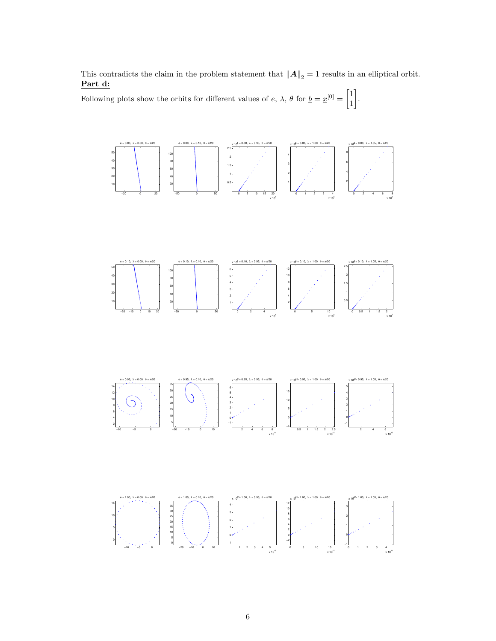This contradicts the claim in the problem statement that  $||A||_2 = 1$  results in an elliptical orbit. Part d:

Following plots show the orbits for different values of  $e, \lambda, \theta$  for  $\underline{b} = \underline{x}^{[0]} = \begin{bmatrix} 1 \\ 1 \end{bmatrix}$  .

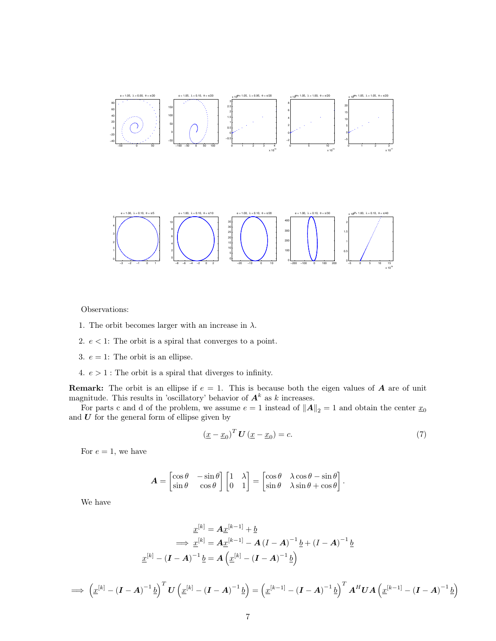

Observations:

- 1. The orbit becomes larger with an increase in  $\lambda$ .
- 2.  $e < 1$ : The orbit is a spiral that converges to a point.
- 3.  $e = 1$ : The orbit is an ellipse.

 $\overline{\mathscr{L}}$ 

4.  $e > 1$ : The orbit is a spiral that diverges to infinity.

**Remark:** The orbit is an ellipse if  $e = 1$ . This is because both the eigen values of **A** are of unit magnitude. This results in 'oscillatory' behavior of  $A<sup>k</sup>$  as k increases.

For parts c and d of the problem, we assume  $e = 1$  instead of  $||A||_2 = 1$  and obtain the center  $x_0$ and  $U$  for the general form of ellipse given by

$$
\left(\underline{x} - \underline{x}_0\right)^T \mathbf{U}\left(\underline{x} - \underline{x}_0\right) = c.\tag{7}
$$

For  $e = 1$ , we have

$$
\mathbf{A} = \begin{bmatrix} \cos \theta & -\sin \theta \\ \sin \theta & \cos \theta \end{bmatrix} \begin{bmatrix} 1 & \lambda \\ 0 & 1 \end{bmatrix} = \begin{bmatrix} \cos \theta & \lambda \cos \theta - \sin \theta \\ \sin \theta & \lambda \sin \theta + \cos \theta \end{bmatrix}.
$$

We have

$$
\underline{x}^{[k]} = A \underline{x}^{[k-1]} + \underline{b}
$$
\n
$$
\implies \underline{x}^{[k]} = A \underline{x}^{[k-1]} - A (I - A)^{-1} \underline{b} + (I - A)^{-1} \underline{b}
$$
\n
$$
\underline{x}^{[k]} - (I - A)^{-1} \underline{b} = A \left( \underline{x}^{[k]} - (I - A)^{-1} \underline{b} \right)
$$

$$
\implies \left(\underline{x}^{[k]} - (\mathbf{I} - \mathbf{A})^{-1} \underline{b}\right)^T \mathbf{U} \left(\underline{x}^{[k]} - (\mathbf{I} - \mathbf{A})^{-1} \underline{b}\right) = \left(\underline{x}^{[k-1]} - (\mathbf{I} - \mathbf{A})^{-1} \underline{b}\right)^T \mathbf{A}^H \mathbf{U} \mathbf{A} \left(\underline{x}^{[k-1]} - (\mathbf{I} - \mathbf{A})^{-1} \underline{b}\right)
$$